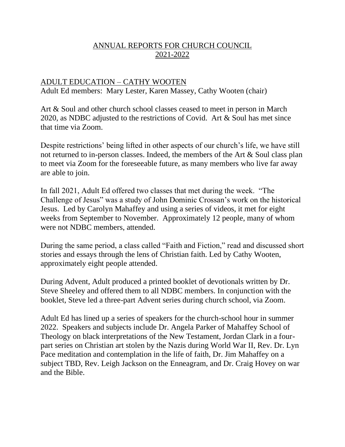#### ANNUAL REPORTS FOR CHURCH COUNCIL 2021-2022

#### ADULT EDUCATION – CATHY WOOTEN Adult Ed members: Mary Lester, Karen Massey, Cathy Wooten (chair)

Art & Soul and other church school classes ceased to meet in person in March 2020, as NDBC adjusted to the restrictions of Covid. Art & Soul has met since that time via Zoom.

Despite restrictions' being lifted in other aspects of our church's life, we have still not returned to in-person classes. Indeed, the members of the Art & Soul class plan to meet via Zoom for the foreseeable future, as many members who live far away are able to join.

In fall 2021, Adult Ed offered two classes that met during the week. "The Challenge of Jesus" was a study of John Dominic Crossan's work on the historical Jesus. Led by Carolyn Mahaffey and using a series of videos, it met for eight weeks from September to November. Approximately 12 people, many of whom were not NDBC members, attended.

During the same period, a class called "Faith and Fiction," read and discussed short stories and essays through the lens of Christian faith. Led by Cathy Wooten, approximately eight people attended.

During Advent, Adult produced a printed booklet of devotionals written by Dr. Steve Sheeley and offered them to all NDBC members. In conjunction with the booklet, Steve led a three-part Advent series during church school, via Zoom.

Adult Ed has lined up a series of speakers for the church-school hour in summer 2022. Speakers and subjects include Dr. Angela Parker of Mahaffey School of Theology on black interpretations of the New Testament, Jordan Clark in a fourpart series on Christian art stolen by the Nazis during World War II, Rev. Dr. Lyn Pace meditation and contemplation in the life of faith, Dr. Jim Mahaffey on a subject TBD, Rev. Leigh Jackson on the Enneagram, and Dr. Craig Hovey on war and the Bible.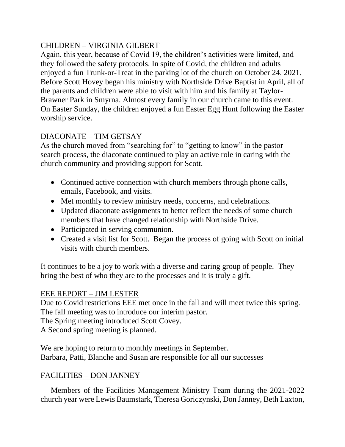### CHILDREN – VIRGINIA GILBERT

Again, this year, because of Covid 19, the children's activities were limited, and they followed the safety protocols. In spite of Covid, the children and adults enjoyed a fun Trunk-or-Treat in the parking lot of the church on October 24, 2021. Before Scott Hovey began his ministry with Northside Drive Baptist in April, all of the parents and children were able to visit with him and his family at Taylor-Brawner Park in Smyrna. Almost every family in our church came to this event. On Easter Sunday, the children enjoyed a fun Easter Egg Hunt following the Easter worship service.

# DIACONATE – TIM GETSAY

As the church moved from "searching for" to "getting to know" in the pastor search process, the diaconate continued to play an active role in caring with the church community and providing support for Scott.

- Continued active connection with church members through phone calls, emails, Facebook, and visits.
- Met monthly to review ministry needs, concerns, and celebrations.
- Updated diaconate assignments to better reflect the needs of some church members that have changed relationship with Northside Drive.
- Participated in serving communion.
- Created a visit list for Scott. Began the process of going with Scott on initial visits with church members.

It continues to be a joy to work with a diverse and caring group of people. They bring the best of who they are to the processes and it is truly a gift.

#### EEE REPORT – JIM LESTER

Due to Covid restrictions EEE met once in the fall and will meet twice this spring. The fall meeting was to introduce our interim pastor.

The Spring meeting introduced Scott Covey.

A Second spring meeting is planned.

We are hoping to return to monthly meetings in September. Barbara, Patti, Blanche and Susan are responsible for all our successes

#### FACILITIES – DON JANNEY

Members of the Facilities Management Ministry Team during the 2021-2022 church year were Lewis Baumstark, Theresa Goriczynski, Don Janney, Beth Laxton,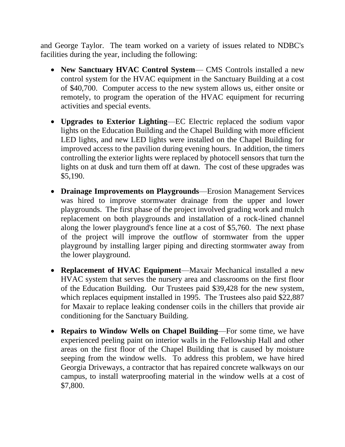and George Taylor. The team worked on a variety of issues related to NDBC's facilities during the year, including the following:

- **New Sanctuary HVAC Control System** CMS Controls installed a new control system for the HVAC equipment in the Sanctuary Building at a cost of \$40,700. Computer access to the new system allows us, either onsite or remotely, to program the operation of the HVAC equipment for recurring activities and special events.
- **Upgrades to Exterior Lighting**—EC Electric replaced the sodium vapor lights on the Education Building and the Chapel Building with more efficient LED lights, and new LED lights were installed on the Chapel Building for improved access to the pavilion during evening hours. In addition, the timers controlling the exterior lights were replaced by photocell sensors that turn the lights on at dusk and turn them off at dawn. The cost of these upgrades was \$5,190.
- **Drainage Improvements on Playgrounds**—Erosion Management Services was hired to improve stormwater drainage from the upper and lower playgrounds. The first phase of the project involved grading work and mulch replacement on both playgrounds and installation of a rock-lined channel along the lower playground's fence line at a cost of \$5,760. The next phase of the project will improve the outflow of stormwater from the upper playground by installing larger piping and directing stormwater away from the lower playground.
- **Replacement of HVAC Equipment**—Maxair Mechanical installed a new HVAC system that serves the nursery area and classrooms on the first floor of the Education Building. Our Trustees paid \$39,428 for the new system, which replaces equipment installed in 1995. The Trustees also paid \$22,887 for Maxair to replace leaking condenser coils in the chillers that provide air conditioning for the Sanctuary Building.
- **Repairs to Window Wells on Chapel Building**—For some time, we have experienced peeling paint on interior walls in the Fellowship Hall and other areas on the first floor of the Chapel Building that is caused by moisture seeping from the window wells. To address this problem, we have hired Georgia Driveways, a contractor that has repaired concrete walkways on our campus, to install waterproofing material in the window wells at a cost of \$7,800.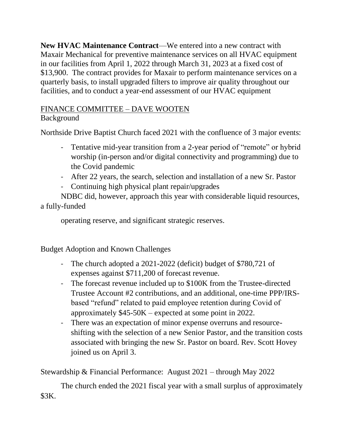**New HVAC Maintenance Contract**—We entered into a new contract with Maxair Mechanical for preventive maintenance services on all HVAC equipment in our facilities from April 1, 2022 through March 31, 2023 at a fixed cost of \$13,900. The contract provides for Maxair to perform maintenance services on a quarterly basis, to install upgraded filters to improve air quality throughout our facilities, and to conduct a year-end assessment of our HVAC equipment

# FINANCE COMMITTEE – DAVE WOOTEN

# Background

Northside Drive Baptist Church faced 2021 with the confluence of 3 major events:

- Tentative mid-year transition from a 2-year period of "remote" or hybrid worship (in-person and/or digital connectivity and programming) due to the Covid pandemic
- After 22 years, the search, selection and installation of a new Sr. Pastor
- Continuing high physical plant repair/upgrades

NDBC did, however, approach this year with considerable liquid resources, a fully-funded

operating reserve, and significant strategic reserves.

Budget Adoption and Known Challenges

- The church adopted a 2021-2022 (deficit) budget of \$780,721 of expenses against \$711,200 of forecast revenue.
- The forecast revenue included up to \$100K from the Trustee-directed Trustee Account #2 contributions, and an additional, one-time PPP/IRSbased "refund" related to paid employee retention during Covid of approximately \$45-50K – expected at some point in 2022.
- There was an expectation of minor expense overruns and resourceshifting with the selection of a new Senior Pastor, and the transition costs associated with bringing the new Sr. Pastor on board. Rev. Scott Hovey joined us on April 3.

Stewardship & Financial Performance: August 2021 – through May 2022

The church ended the 2021 fiscal year with a small surplus of approximately \$3K.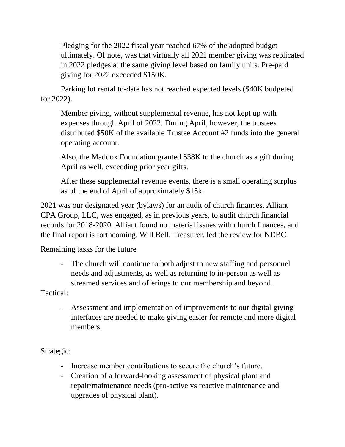Pledging for the 2022 fiscal year reached 67% of the adopted budget ultimately. Of note, was that virtually all 2021 member giving was replicated in 2022 pledges at the same giving level based on family units. Pre-paid giving for 2022 exceeded \$150K.

Parking lot rental to-date has not reached expected levels (\$40K budgeted for 2022).

Member giving, without supplemental revenue, has not kept up with expenses through April of 2022. During April, however, the trustees distributed \$50K of the available Trustee Account #2 funds into the general operating account.

Also, the Maddox Foundation granted \$38K to the church as a gift during April as well, exceeding prior year gifts.

After these supplemental revenue events, there is a small operating surplus as of the end of April of approximately \$15k.

2021 was our designated year (bylaws) for an audit of church finances. Alliant CPA Group, LLC, was engaged, as in previous years, to audit church financial records for 2018-2020. Alliant found no material issues with church finances, and the final report is forthcoming. Will Bell, Treasurer, led the review for NDBC.

Remaining tasks for the future

- The church will continue to both adjust to new staffing and personnel needs and adjustments, as well as returning to in-person as well as streamed services and offerings to our membership and beyond.

Tactical:

- Assessment and implementation of improvements to our digital giving interfaces are needed to make giving easier for remote and more digital members.

Strategic:

- Increase member contributions to secure the church's future.
- Creation of a forward-looking assessment of physical plant and repair/maintenance needs (pro-active vs reactive maintenance and upgrades of physical plant).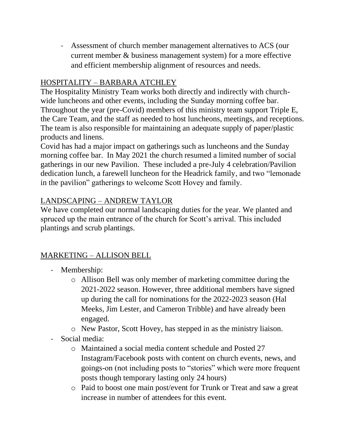- Assessment of church member management alternatives to ACS (our current member & business management system) for a more effective and efficient membership alignment of resources and needs.

### HOSPITALITY – BARBARA ATCHLEY

The Hospitality Ministry Team works both directly and indirectly with churchwide luncheons and other events, including the Sunday morning coffee bar. Throughout the year (pre-Covid) members of this ministry team support Triple E, the Care Team, and the staff as needed to host luncheons, meetings, and receptions. The team is also responsible for maintaining an adequate supply of paper/plastic products and linens.

Covid has had a major impact on gatherings such as luncheons and the Sunday morning coffee bar. In May 2021 the church resumed a limited number of social gatherings in our new Pavilion. These included a pre-July 4 celebration/Pavilion dedication lunch, a farewell luncheon for the Headrick family, and two "lemonade in the pavilion" gatherings to welcome Scott Hovey and family.

#### LANDSCAPING – ANDREW TAYLOR

We have completed our normal landscaping duties for the year. We planted and spruced up the main entrance of the church for Scott's arrival. This included plantings and scrub plantings.

# MARKETING – ALLISON BELL

- Membership:
	- o Allison Bell was only member of marketing committee during the 2021-2022 season. However, three additional members have signed up during the call for nominations for the 2022-2023 season (Hal Meeks, Jim Lester, and Cameron Tribble) and have already been engaged.
	- o New Pastor, Scott Hovey, has stepped in as the ministry liaison.
- Social media:
	- o Maintained a social media content schedule and Posted 27 Instagram/Facebook posts with content on church events, news, and goings-on (not including posts to "stories" which were more frequent posts though temporary lasting only 24 hours)
	- o Paid to boost one main post/event for Trunk or Treat and saw a great increase in number of attendees for this event.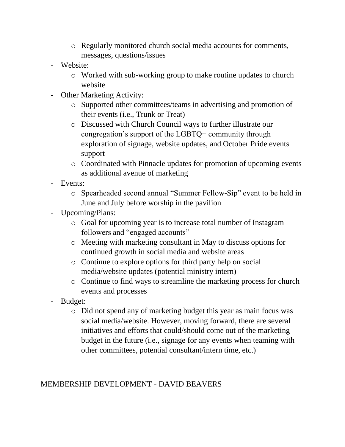- o Regularly monitored church social media accounts for comments, messages, questions/issues
- Website:
	- o Worked with sub-working group to make routine updates to church website
- Other Marketing Activity:
	- o Supported other committees/teams in advertising and promotion of their events (i.e., Trunk or Treat)
	- o Discussed with Church Council ways to further illustrate our congregation's support of the LGBTQ+ community through exploration of signage, website updates, and October Pride events support
	- o Coordinated with Pinnacle updates for promotion of upcoming events as additional avenue of marketing
- Events:
	- o Spearheaded second annual "Summer Fellow-Sip" event to be held in June and July before worship in the pavilion
- Upcoming/Plans:
	- o Goal for upcoming year is to increase total number of Instagram followers and "engaged accounts"
	- o Meeting with marketing consultant in May to discuss options for continued growth in social media and website areas
	- o Continue to explore options for third party help on social media/website updates (potential ministry intern)
	- o Continue to find ways to streamline the marketing process for church events and processes
- Budget:
	- o Did not spend any of marketing budget this year as main focus was social media/website. However, moving forward, there are several initiatives and efforts that could/should come out of the marketing budget in the future (i.e., signage for any events when teaming with other committees, potential consultant/intern time, etc.)

# MEMBERSHIP DEVELOPMENT - DAVID BEAVERS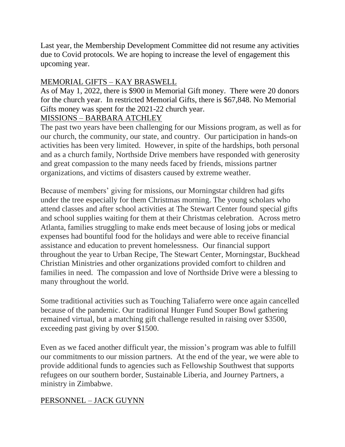Last year, the Membership Development Committee did not resume any activities due to Covid protocols. We are hoping to increase the level of engagement this upcoming year.

# MEMORIAL GIFTS – KAY BRASWELL

As of May 1, 2022, there is \$900 in Memorial Gift money. There were 20 donors for the church year. In restricted Memorial Gifts, there is \$67,848. No Memorial Gifts money was spent for the 2021-22 church year.

### MISSIONS – BARBARA ATCHLEY

The past two years have been challenging for our Missions program, as well as for our church, the community, our state, and country. Our participation in hands-on activities has been very limited. However, in spite of the hardships, both personal and as a church family, Northside Drive members have responded with generosity and great compassion to the many needs faced by friends, missions partner organizations, and victims of disasters caused by extreme weather.

Because of members' giving for missions, our Morningstar children had gifts under the tree especially for them Christmas morning. The young scholars who attend classes and after school activities at The Stewart Center found special gifts and school supplies waiting for them at their Christmas celebration. Across metro Atlanta, families struggling to make ends meet because of losing jobs or medical expenses had bountiful food for the holidays and were able to receive financial assistance and education to prevent homelessness. Our financial support throughout the year to Urban Recipe, The Stewart Center, Morningstar, Buckhead Christian Ministries and other organizations provided comfort to children and families in need. The compassion and love of Northside Drive were a blessing to many throughout the world.

Some traditional activities such as Touching Taliaferro were once again cancelled because of the pandemic. Our traditional Hunger Fund Souper Bowl gathering remained virtual, but a matching gift challenge resulted in raising over \$3500, exceeding past giving by over \$1500.

Even as we faced another difficult year, the mission's program was able to fulfill our commitments to our mission partners. At the end of the year, we were able to provide additional funds to agencies such as Fellowship Southwest that supports refugees on our southern border, Sustainable Liberia, and Journey Partners, a ministry in Zimbabwe.

# PERSONNEL – JACK GUYNN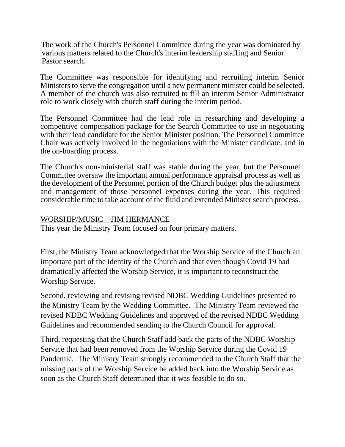The work of the Church's Personnel Committee during the year was dominated by various matters related to the Church's interim leadership staffing and Senior Pastor search.

The Committee was responsible for identifying and recruiting interim Senior Ministers to serve the congregation until a new permanent minister could be selected. A member of the church was also recruited to fill an interim Senior Administrator role to work closely with church staff during the interim period.

The Personnel Committee had the lead role in researching and developing a competitive compensation package for the Search Committee to use in negotiating with their lead candidate for the Senior Minister position. The Personnel Committee Chair was actively involved in the negotiations with the Minister candidate, and in the on-boarding process.

The Church's non-ministerial staff was stable during the year, but the Personnel Committee oversaw the important annual performance appraisal process as well as the development of the Personnel portion of the Church budget plus the adjustment and management of those personnel expenses during the year. This required considerable time to take account of the fluid and extended Minister search process.

#### WORSHIP/MUSIC – JIM HERMANCE

This year the Ministry Team focused on four primary matters.

First, the Ministry Team acknowledged that the Worship Service of the Church an important part of the identity of the Church and that even though Covid 19 had dramatically affected the Worship Service, it is important to reconstruct the Worship Service.

Second, reviewing and revising revised NDBC Wedding Guidelines presented to the Ministry Team by the Wedding Committee. The Ministry Team reviewed the revised NDBC Wedding Guidelines and approved of the revised NDBC Wedding Guidelines and recommended sending to the Church Council for approval.

Third, requesting that the Church Staff add back the parts of the NDBC Worship Service that had been removed from the Worship Service during the Covid 19 Pandemic. The Ministry Team strongly recommended to the Church Staff that the missing parts of the Worship Service be added back into the Worship Service as soon as the Church Staff determined that it was feasible to do so.